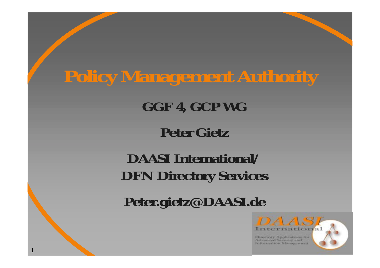# **Policy Management Authority**

#### **GGF 4, GCP WG**

#### **Peter Gietz**

#### **DAASI International/DFN Directory Services**

**Peter.gietz@DAASI.de**

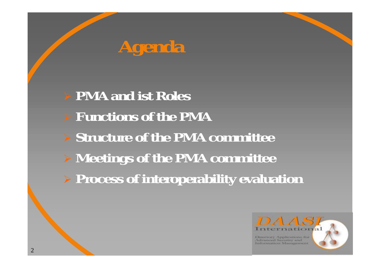

## ! **PMA and ist Roles** ! **Functions of the PMA** ! **Structure of the PMA committee** ! **Meetings of the PMA committee** ! **Process of interoperability evaluation**

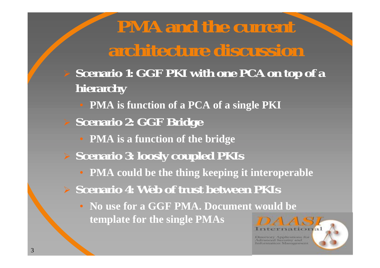## **PMA and the current architecture discussion**

- ! **Scenario 1: GGF PKI with one PCA on top of a hierarchy**
	- **PMA is function of a PCA of a single PKI**
- ! **Scenario 2: GGF Bridge**
	- **PMA is a function of the bridge**
- ! **Scenario 3: loosly coupled PKIs** 
	- **PMA could be the thing keeping it interoperable**
- ! **Scenario 4: Web of trust between PKIs**
	- **No use for a GGF PMA. Document would be template for the single PMAs**

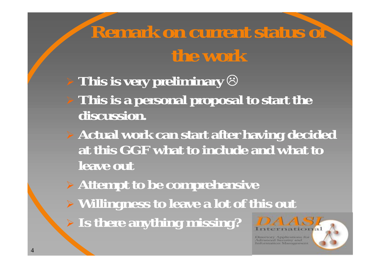## **Remark on current status of the work**

- $\triangleright$  This is very preliminary  $\odot$
- ! **This is a personal proposal to start the discussion.**
- ! **Actual work can start after having decided at this GGF what to include and what to leave out**
- ! **Attempt to be comprehensive** ! **Willingness to leave a lot of this out** ! **Is there anything missing?**

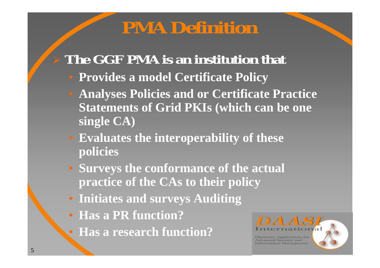### **PMA Definition**

#### ! **The GGF PMA is an institution that**

- **Provides a model Certificate Policy**
- **Analyses Policies and or Certificate Practice Statements of Grid PKIs (which can be one single CA)**
- **Evaluates the interoperability of these policies**
- **Surveys the conformance of the actual practice of the CAs to their policy**
- **Initiates and surveys Auditing**
- **Has a PR function?**
- **Has a research function?**

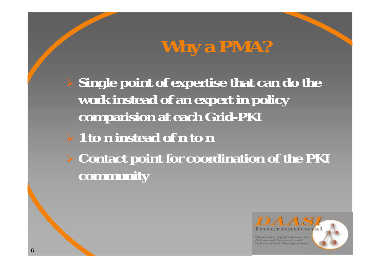# **Why a PMA?**

 **Single point of expertise that can do the work instead of an expert in policy comparision at each Grid-PKI**

### ! **1 to n instead of n to n**

! **Contact point for coordination of the PKI community**

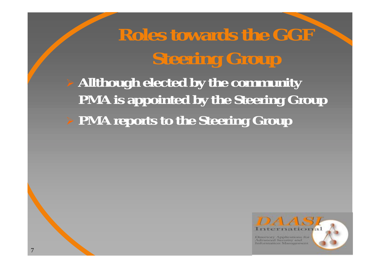# **Roles towards the GGF Steering Group**

! **Allthough elected by the community PMA is appointed by the Steering Group** ! **PMA reports to the Steering Group**

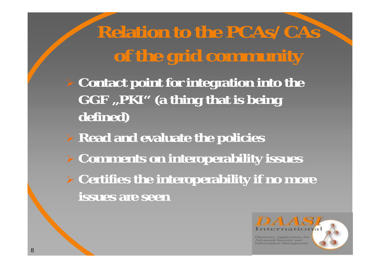**Relation to the PCAs/CAs of the grid community**

! **Contact point for integration into the** GGF, PKI" (a thing that is being **defined)**

! **Read and evaluate the policies** ! **Comments on interoperability issues**

! **Certifies the interoperability if no more issues are seen**

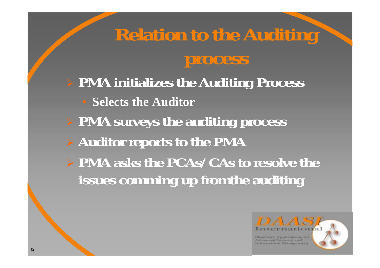# **Relation to the Auditing process**

! **PMA initializes the Auditing Process**

- **Selects the Auditor**
- ! **PMA surveys the auditing process**
- ! **Auditor reports to the PMA**
- ! **PMA asks the PCAs/CAs to resolve the issues comming up fromthe auditing**

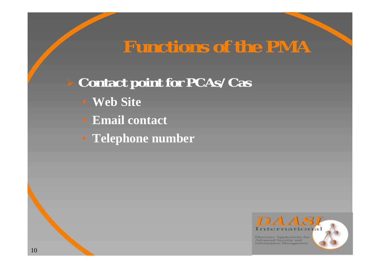## **Functions of the PMA**

### ! **Contact point for PCAs/Cas**

- **Web Site**
- **Email contact**
- **Telephone number**

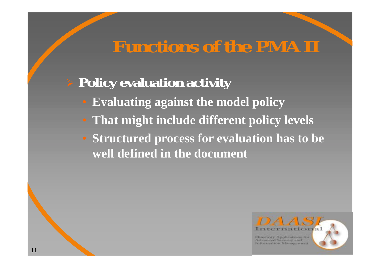## **Functions of the PMA II**

### ! **Policy evaluation activity**

- **Evaluating against the model policy**
- **That might include different policy levels**
- **Structured process for evaluation has to be well defined in the document**

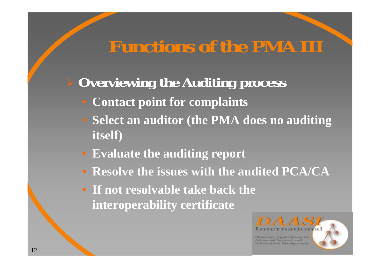## **Functions of the PMA III**

### **Overviewing the Auditing process**

- **Contact point for complaints**
- **Select an auditor (the PMA does no auditing itself)**
- **Evaluate the auditing report**
- **Resolve the issues with the audited PCA/CA**
- **If not resolvable take back the interoperability certificate**

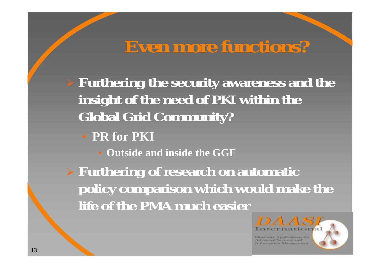## **Even more functions?**

! **Furthering the security awareness and the insight of the need of PKI within the Global Grid Community?**

• **PR for PKI**

• **Outside and inside the GGF**

! **Furthering of research on automatic policy comparison which would make the life of the PMA much easier**

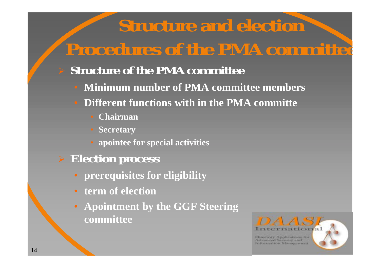## **Structure and election Procedures of the PMA committee**

#### **Structure of the PMA committee**

- **Minimum number of PMA committee members**
- **Different functions with in the PMA committe**
	- **Chairman**
	- **Secretary**
	- **apointee for special activities**
- ! **Election process**
	- **prerequisites for eligibility**
	- **term of election**
	- **Apointment by the GGF Steering committee**

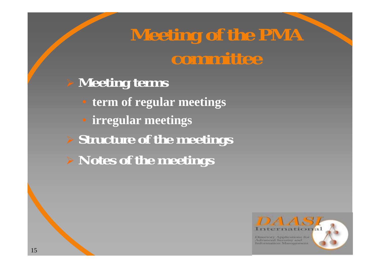## **Meeting of the PMA committee**

- ! **Meeting terms**
	- **term of regular meetings**
	- **irregular meetings**
- ! **Structure of the meetings** ! **Notes of the meetings**